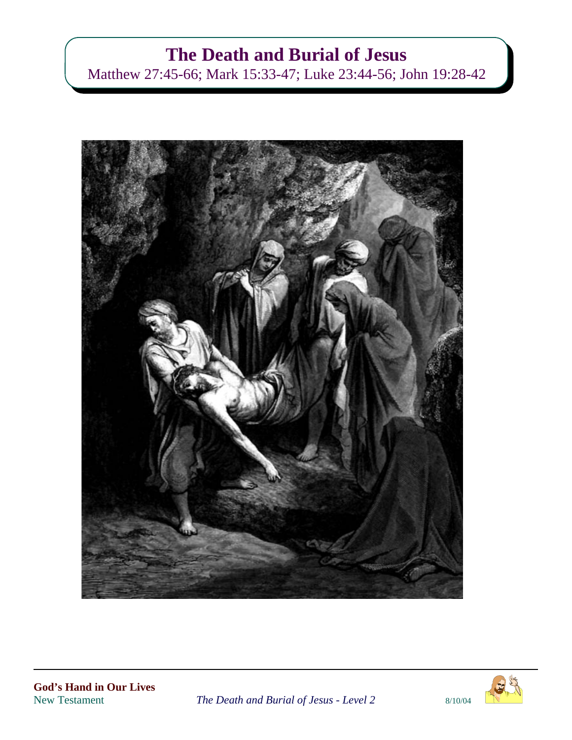# **The Death and Burial of Jesus**

Matthew 27:45-66; Mark 15:33-47; Luke 23:44-56; John 19:28-42



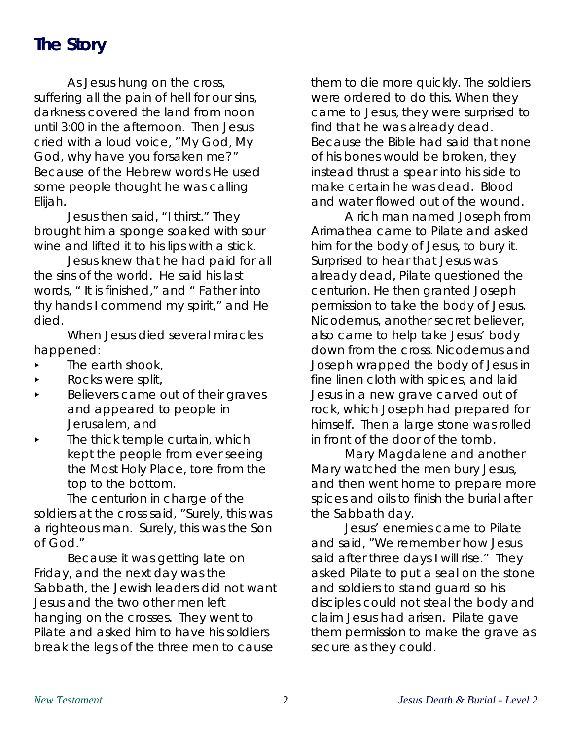## **The Story**

As Jesus hung on the cross, suffering all the pain of hell for our sins, darkness covered the land from noon until 3:00 in the afternoon. Then Jesus cried with a loud voice, "My God, My God, why have you forsaken me?" Because of the Hebrew words He used some people thought he was calling Elijah.

Jesus then said, "I thirst." They brought him a sponge soaked with sour wine and lifted it to his lips with a stick.

Jesus knew that he had paid for all the sins of the world. He said his last words, " It is finished," and " Father into thy hands I commend my spirit," and He died.

When Jesus died several miracles happened:

- The earth shook,
- Rocks were split,
- < Believers came out of their graves and appeared to people in Jerusalem, and
- $\blacktriangleright$  The thick temple curtain, which kept the people from ever seeing the Most Holy Place, tore from the top to the bottom.

The centurion in charge of the soldiers at the cross said, "Surely, this was a righteous man. Surely, this was the Son of God."

Because it was getting late on Friday, and the next day was the Sabbath, the Jewish leaders did not want Jesus and the two other men left hanging on the crosses. They went to Pilate and asked him to have his soldiers break the legs of the three men to cause

them to die more quickly. The soldiers were ordered to do this. When they came to Jesus, they were surprised to find that he was already dead. Because the Bible had said that none of his bones would be broken, they instead thrust a spear into his side to make certain he was dead. Blood and water flowed out of the wound.

A rich man named Joseph from Arimathea came to Pilate and asked him for the body of Jesus, to bury it. Surprised to hear that Jesus was already dead, Pilate questioned the centurion. He then granted Joseph permission to take the body of Jesus. Nicodemus, another secret believer, also came to help take Jesus' body down from the cross. Nicodemus and Joseph wrapped the body of Jesus in fine linen cloth with spices, and laid Jesus in a new grave carved out of rock, which Joseph had prepared for himself. Then a large stone was rolled in front of the door of the tomb.

Mary Magdalene and another Mary watched the men bury Jesus, and then went home to prepare more spices and oils to finish the burial after the Sabbath day.

Jesus' enemies came to Pilate and said, "We remember how Jesus said after three days I will rise." They asked Pilate to put a seal on the stone and soldiers to stand guard so his disciples could not steal the body and claim Jesus had arisen. Pilate gave them permission to make the grave as secure as they could.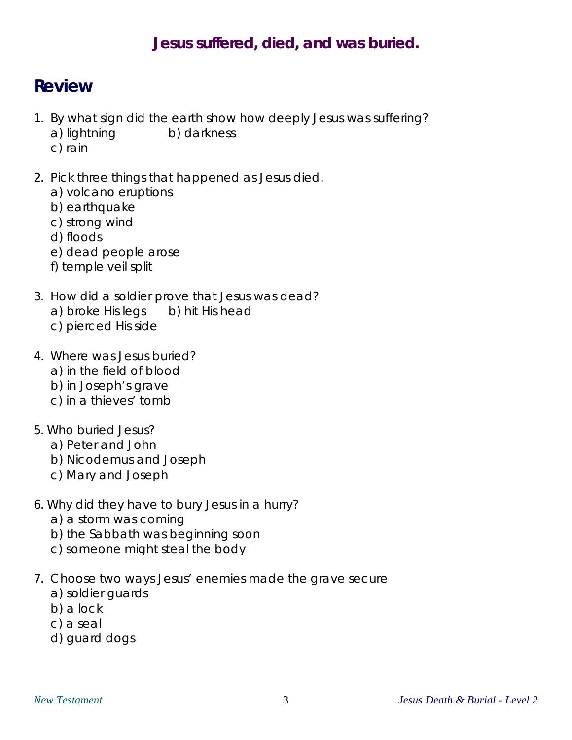#### **Jesus suffered, died, and was buried.**

#### **Review**

- 1. By what sign did the earth show how deeply Jesus was suffering? a) lightning b) darkness
	- c) rain
- 2. Pick three things that happened as Jesus died.
	- a) volcano eruptions
	- b) earthquake
	- c) strong wind
	- d) floods
	- e) dead people arose
	- f) temple veil split
- 3. How did a soldier prove that Jesus was dead? a) broke His legs b) hit His head
	- c) pierced His side
- 4. Where was Jesus buried?
	- a) in the field of blood
	- b) in Joseph's grave
	- c) in a thieves' tomb
- 5. Who buried Jesus?
	- a) Peter and John
	- b) Nicodemus and Joseph
	- c) Mary and Joseph
- 6. Why did they have to bury Jesus in a hurry?
	- a) a storm was coming
	- b) the Sabbath was beginning soon
	- c) someone might steal the body
- 7. Choose two ways Jesus' enemies made the grave secure
	- a) soldier guards
	- b) a lock
	- c) a seal
	- d) guard dogs